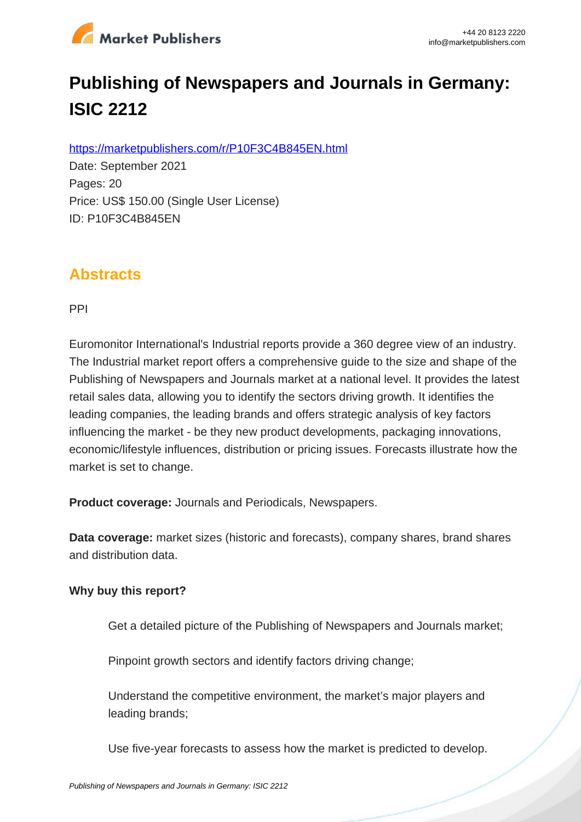

# **Publishing of Newspapers and Journals in Germany: ISIC 2212**

https://marketpublishers.com/r/P10F3C4B845EN.html

Date: September 2021 Pages: 20 Price: US\$ 150.00 (Single User License) ID: P10F3C4B845EN

### **Abstracts**

PPI

Euromonitor International's Industrial reports provide a 360 degree view of an industry. The Industrial market report offers a comprehensive guide to the size and shape of the Publishing of Newspapers and Journals market at a national level. It provides the latest retail sales data, allowing you to identify the sectors driving growth. It identifies the leading companies, the leading brands and offers strategic analysis of key factors influencing the market - be they new product developments, packaging innovations, economic/lifestyle influences, distribution or pricing issues. Forecasts illustrate how the market is set to change.

**Product coverage:** Journals and Periodicals, Newspapers.

**Data coverage:** market sizes (historic and forecasts), company shares, brand shares and distribution data.

#### **Why buy this report?**

Get a detailed picture of the Publishing of Newspapers and Journals market;

Pinpoint growth sectors and identify factors driving change;

Understand the competitive environment, the market's major players and leading brands;

Use five-year forecasts to assess how the market is predicted to develop.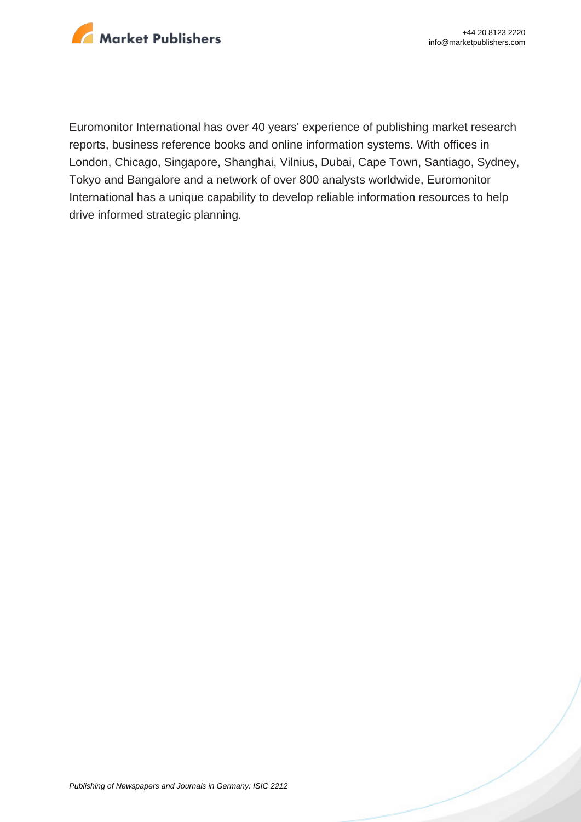

Euromonitor International has over 40 years' experience of publishing market research reports, business reference books and online information systems. With offices in London, Chicago, Singapore, Shanghai, Vilnius, Dubai, Cape Town, Santiago, Sydney, Tokyo and Bangalore and a network of over 800 analysts worldwide, Euromonitor International has a unique capability to develop reliable information resources to help drive informed strategic planning.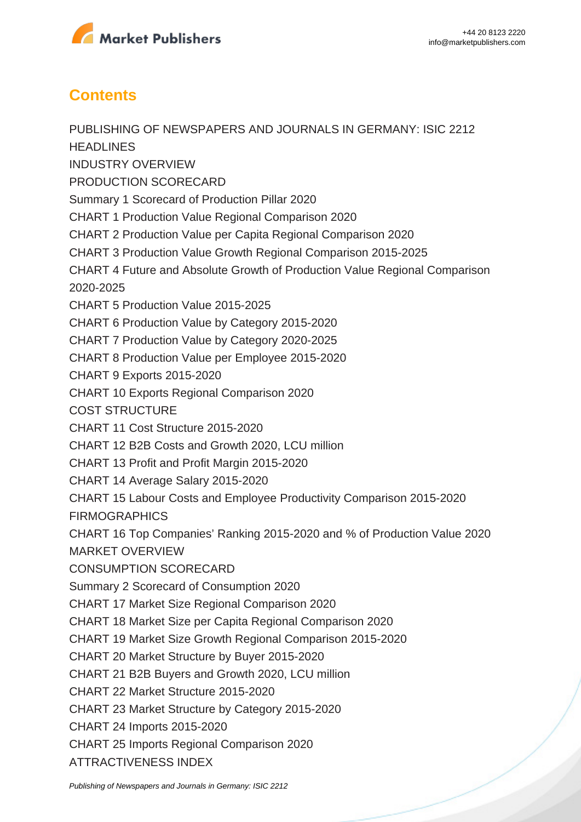

## **Contents**

PUBLISHING OF NEWSPAPERS AND JOURNALS IN GERMANY: ISIC 2212 **HEADLINES** INDUSTRY OVERVIEW PRODUCTION SCORECARD Summary 1 Scorecard of Production Pillar 2020 CHART 1 Production Value Regional Comparison 2020 CHART 2 Production Value per Capita Regional Comparison 2020 CHART 3 Production Value Growth Regional Comparison 2015-2025 CHART 4 Future and Absolute Growth of Production Value Regional Comparison 2020-2025 CHART 5 Production Value 2015-2025 CHART 6 Production Value by Category 2015-2020 CHART 7 Production Value by Category 2020-2025 CHART 8 Production Value per Employee 2015-2020 CHART 9 Exports 2015-2020 CHART 10 Exports Regional Comparison 2020 COST STRUCTURE CHART 11 Cost Structure 2015-2020 CHART 12 B2B Costs and Growth 2020, LCU million CHART 13 Profit and Profit Margin 2015-2020 CHART 14 Average Salary 2015-2020 CHART 15 Labour Costs and Employee Productivity Comparison 2015-2020 FIRMOGRAPHICS CHART 16 Top Companies' Ranking 2015-2020 and % of Production Value 2020 MARKET OVERVIEW CONSUMPTION SCORECARD Summary 2 Scorecard of Consumption 2020 CHART 17 Market Size Regional Comparison 2020 CHART 18 Market Size per Capita Regional Comparison 2020 CHART 19 Market Size Growth Regional Comparison 2015-2020 CHART 20 Market Structure by Buyer 2015-2020 CHART 21 B2B Buyers and Growth 2020, LCU million CHART 22 Market Structure 2015-2020 CHART 23 Market Structure by Category 2015-2020 CHART 24 Imports 2015-2020 CHART 25 Imports Regional Comparison 2020 ATTRACTIVENESS INDEX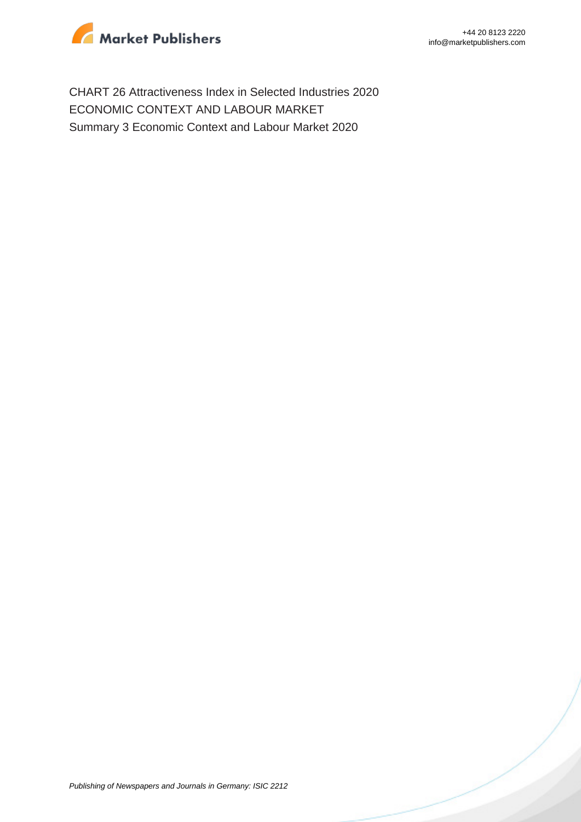

CHART 26 Attractiveness Index in Selected Industries 2020 ECONOMIC CONTEXT AND LABOUR MARKET Summary 3 Economic Context and Labour Market 2020